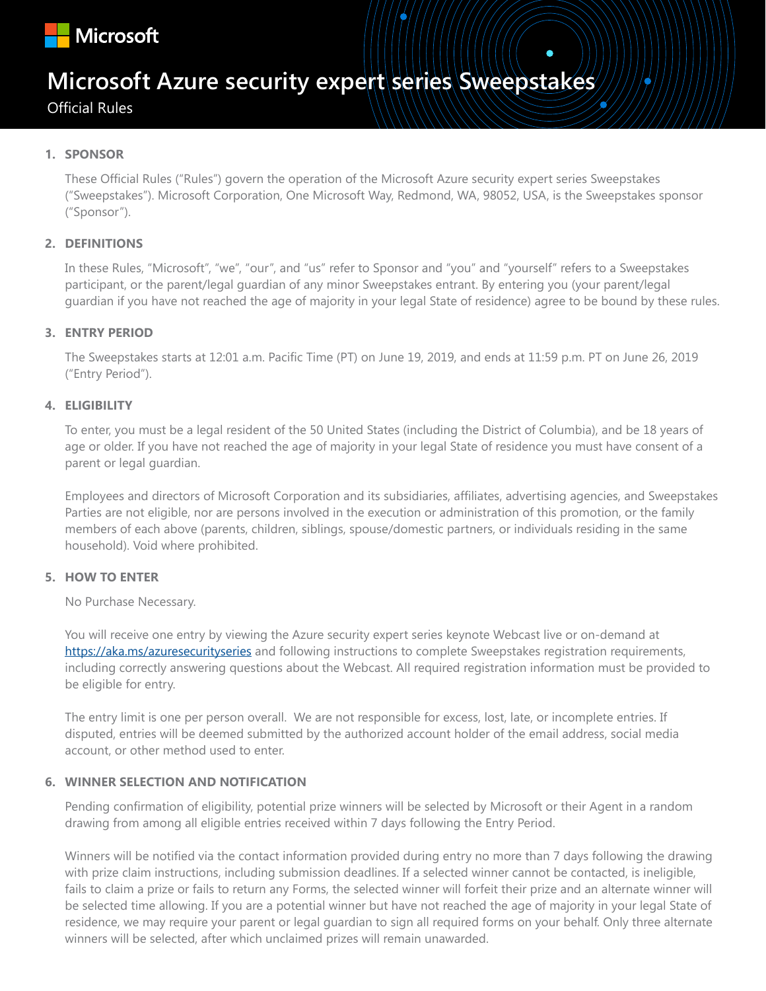

# **Microsoft Azure security expert series Sweepstakes**

Official Rules

# **1. SPONSOR**

These Official Rules ("Rules") govern the operation of the Microsoft Azure security expert series Sweepstakes ("Sweepstakes"). Microsoft Corporation, One Microsoft Way, Redmond, WA, 98052, USA, is the Sweepstakes sponsor ("Sponsor").

# **2. DEFINITIONS**

In these Rules, "Microsoft", "we", "our", and "us" refer to Sponsor and "you" and "yourself" refers to a Sweepstakes participant, or the parent/legal guardian of any minor Sweepstakes entrant. By entering you (your parent/legal guardian if you have not reached the age of majority in your legal State of residence) agree to be bound by these rules.

# **3. ENTRY PERIOD**

The Sweepstakes starts at 12:01 a.m. Pacific Time (PT) on June 19, 2019, and ends at 11:59 p.m. PT on June 26, 2019 ("Entry Period").

# **4. ELIGIBILITY**

To enter, you must be a legal resident of the 50 United States (including the District of Columbia), and be 18 years of age or older. If you have not reached the age of majority in your legal State of residence you must have consent of a parent or legal guardian.

Employees and directors of Microsoft Corporation and its subsidiaries, affiliates, advertising agencies, and Sweepstakes Parties are not eligible, nor are persons involved in the execution or administration of this promotion, or the family members of each above (parents, children, siblings, spouse/domestic partners, or individuals residing in the same household). Void where prohibited.

#### **5. HOW TO ENTER**

No Purchase Necessary.

You will receive one entry by viewing the Azure security expert series keynote Webcast live or on-demand at https://aka.ms/azuresecurityseries and following instructions to complete Sweepstakes registration requirements, including correctly answering questions about the Webcast. All required registration information must be provided to be eligible for entry.

The entry limit is one per person overall. We are not responsible for excess, lost, late, or incomplete entries. If disputed, entries will be deemed submitted by the authorized account holder of the email address, social media account, or other method used to enter.

# **6. WINNER SELECTION AND NOTIFICATION**

Pending confirmation of eligibility, potential prize winners will be selected by Microsoft or their Agent in a random drawing from among all eligible entries received within 7 days following the Entry Period.

Winners will be notified via the contact information provided during entry no more than 7 days following the drawing with prize claim instructions, including submission deadlines. If a selected winner cannot be contacted, is ineligible, fails to claim a prize or fails to return any Forms, the selected winner will forfeit their prize and an alternate winner will be selected time allowing. If you are a potential winner but have not reached the age of majority in your legal State of residence, we may require your parent or legal guardian to sign all required forms on your behalf. Only three alternate winners will be selected, after which unclaimed prizes will remain unawarded.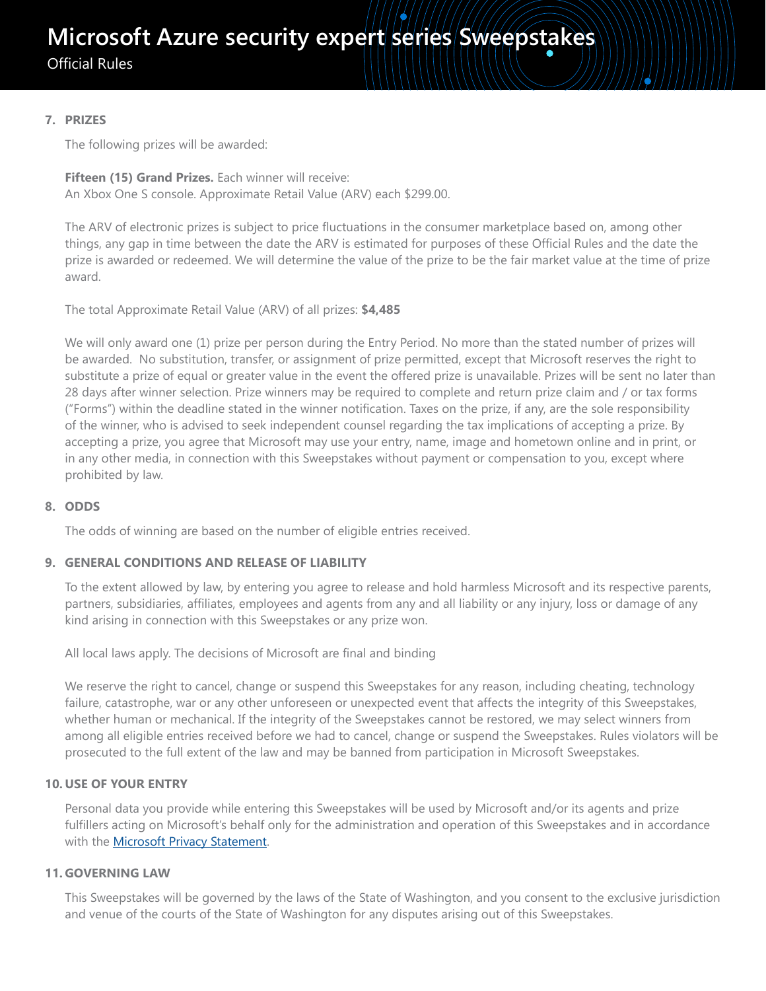Official Rules

# **7. PRIZES**

The following prizes will be awarded:

# **Fifteen (15) Grand Prizes.** Each winner will receive:

An Xbox One S console. Approximate Retail Value (ARV) each \$299.00.

The ARV of electronic prizes is subject to price fluctuations in the consumer marketplace based on, among other things, any gap in time between the date the ARV is estimated for purposes of these Official Rules and the date the prize is awarded or redeemed. We will determine the value of the prize to be the fair market value at the time of prize award.

The total Approximate Retail Value (ARV) of all prizes: **\$4,485**

We will only award one (1) prize per person during the Entry Period. No more than the stated number of prizes will be awarded. No substitution, transfer, or assignment of prize permitted, except that Microsoft reserves the right to substitute a prize of equal or greater value in the event the offered prize is unavailable. Prizes will be sent no later than 28 days after winner selection. Prize winners may be required to complete and return prize claim and / or tax forms ("Forms") within the deadline stated in the winner notification. Taxes on the prize, if any, are the sole responsibility of the winner, who is advised to seek independent counsel regarding the tax implications of accepting a prize. By accepting a prize, you agree that Microsoft may use your entry, name, image and hometown online and in print, or in any other media, in connection with this Sweepstakes without payment or compensation to you, except where prohibited by law.

# **8. ODDS**

The odds of winning are based on the number of eligible entries received.

# **9. GENERAL CONDITIONS AND RELEASE OF LIABILITY**

To the extent allowed by law, by entering you agree to release and hold harmless Microsoft and its respective parents, partners, subsidiaries, affiliates, employees and agents from any and all liability or any injury, loss or damage of any kind arising in connection with this Sweepstakes or any prize won.

All local laws apply. The decisions of Microsoft are final and binding

We reserve the right to cancel, change or suspend this Sweepstakes for any reason, including cheating, technology failure, catastrophe, war or any other unforeseen or unexpected event that affects the integrity of this Sweepstakes, whether human or mechanical. If the integrity of the Sweepstakes cannot be restored, we may select winners from among all eligible entries received before we had to cancel, change or suspend the Sweepstakes. Rules violators will be prosecuted to the full extent of the law and may be banned from participation in Microsoft Sweepstakes.

# **10. USE OF YOUR ENTRY**

Personal data you provide while entering this Sweepstakes will be used by Microsoft and/or its agents and prize fulfillers acting on Microsoft's behalf only for the administration and operation of this Sweepstakes and in accordance with the **Microsoft Privacy Statement**.

# **11. GOVERNING LAW**

This Sweepstakes will be governed by the laws of the State of Washington, and you consent to the exclusive jurisdiction and venue of the courts of the State of Washington for any disputes arising out of this Sweepstakes.